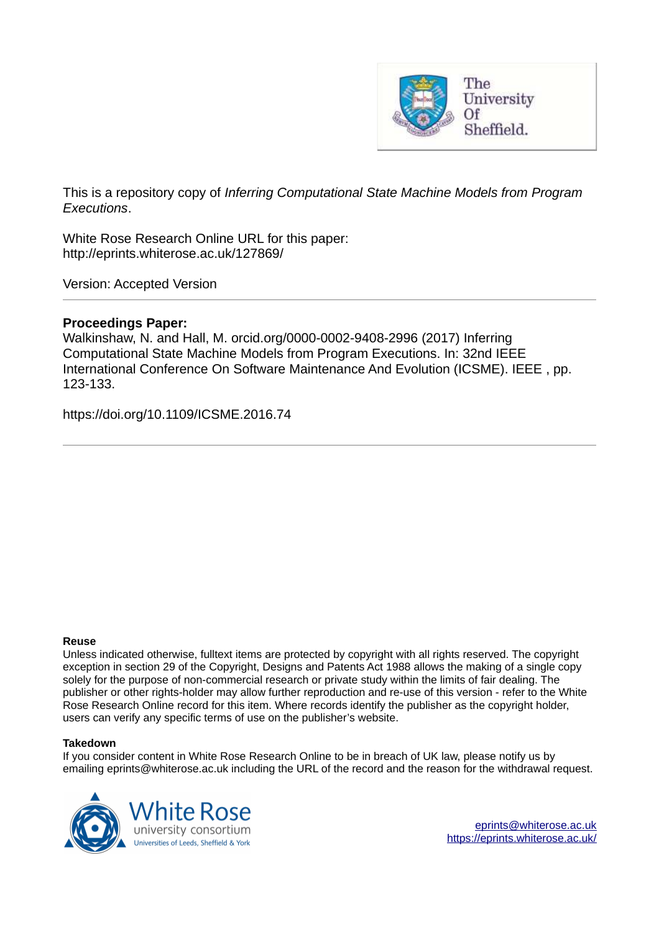

This is a repository copy of *Inferring Computational State Machine Models from Program Executions*.

White Rose Research Online URL for this paper: http://eprints.whiterose.ac.uk/127869/

Version: Accepted Version

## **Proceedings Paper:**

Walkinshaw, N. and Hall, M. orcid.org/0000-0002-9408-2996 (2017) Inferring Computational State Machine Models from Program Executions. In: 32nd IEEE International Conference On Software Maintenance And Evolution (ICSME). IEEE , pp. 123-133.

https://doi.org/10.1109/ICSME.2016.74

## **Reuse**

Unless indicated otherwise, fulltext items are protected by copyright with all rights reserved. The copyright exception in section 29 of the Copyright, Designs and Patents Act 1988 allows the making of a single copy solely for the purpose of non-commercial research or private study within the limits of fair dealing. The publisher or other rights-holder may allow further reproduction and re-use of this version - refer to the White Rose Research Online record for this item. Where records identify the publisher as the copyright holder, users can verify any specific terms of use on the publisher's website.

## **Takedown**

If you consider content in White Rose Research Online to be in breach of UK law, please notify us by emailing eprints@whiterose.ac.uk including the URL of the record and the reason for the withdrawal request.

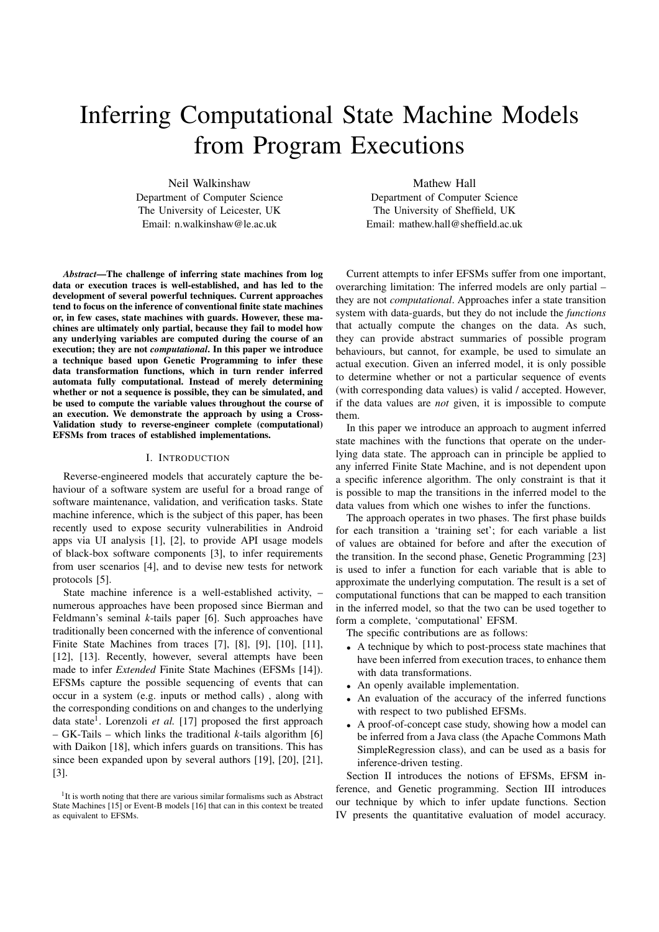# Inferring Computational State Machine Models from Program Executions

Neil Walkinshaw Department of Computer Science The University of Leicester, UK Email: n.walkinshaw@le.ac.uk

*Abstract*—The challenge of inferring state machines from log data or execution traces is well-established, and has led to the development of several powerful techniques. Current approaches tend to focus on the inference of conventional finite state machines or, in few cases, state machines with guards. However, these machines are ultimately only partial, because they fail to model how any underlying variables are computed during the course of an execution; they are not *computational*. In this paper we introduce a technique based upon Genetic Programming to infer these data transformation functions, which in turn render inferred automata fully computational. Instead of merely determining whether or not a sequence is possible, they can be simulated, and be used to compute the variable values throughout the course of an execution. We demonstrate the approach by using a Cross-Validation study to reverse-engineer complete (computational) EFSMs from traces of established implementations.

#### I. INTRODUCTION

Reverse-engineered models that accurately capture the behaviour of a software system are useful for a broad range of software maintenance, validation, and verification tasks. State machine inference, which is the subject of this paper, has been recently used to expose security vulnerabilities in Android apps via UI analysis [1], [2], to provide API usage models of black-box software components [3], to infer requirements from user scenarios [4], and to devise new tests for network protocols [5].

State machine inference is a well-established activity, – numerous approaches have been proposed since Bierman and Feldmann's seminal *k*-tails paper [6]. Such approaches have traditionally been concerned with the inference of conventional Finite State Machines from traces [7], [8], [9], [10], [11], [12], [13]. Recently, however, several attempts have been made to infer *Extended* Finite State Machines (EFSMs [14]). EFSMs capture the possible sequencing of events that can occur in a system (e.g. inputs or method calls) , along with the corresponding conditions on and changes to the underlying data state<sup>1</sup>. Lorenzoli et al. [17] proposed the first approach – GK-Tails – which links the traditional *k*-tails algorithm [6] with Daikon [18], which infers guards on transitions. This has since been expanded upon by several authors [19], [20], [21], [3].

Mathew Hall Department of Computer Science The University of Sheffield, UK Email: mathew.hall@sheffield.ac.uk

Current attempts to infer EFSMs suffer from one important, overarching limitation: The inferred models are only partial – they are not *computational*. Approaches infer a state transition system with data-guards, but they do not include the *functions* that actually compute the changes on the data. As such, they can provide abstract summaries of possible program behaviours, but cannot, for example, be used to simulate an actual execution. Given an inferred model, it is only possible to determine whether or not a particular sequence of events (with corresponding data values) is valid / accepted. However, if the data values are *not* given, it is impossible to compute them.

In this paper we introduce an approach to augment inferred state machines with the functions that operate on the underlying data state. The approach can in principle be applied to any inferred Finite State Machine, and is not dependent upon a specific inference algorithm. The only constraint is that it is possible to map the transitions in the inferred model to the data values from which one wishes to infer the functions.

The approach operates in two phases. The first phase builds for each transition a 'training set'; for each variable a list of values are obtained for before and after the execution of the transition. In the second phase, Genetic Programming [23] is used to infer a function for each variable that is able to approximate the underlying computation. The result is a set of computational functions that can be mapped to each transition in the inferred model, so that the two can be used together to form a complete, 'computational' EFSM.

The specific contributions are as follows:

- A technique by which to post-process state machines that have been inferred from execution traces, to enhance them with data transformations.
- An openly available implementation.
- An evaluation of the accuracy of the inferred functions with respect to two published EFSMs.
- A proof-of-concept case study, showing how a model can be inferred from a Java class (the Apache Commons Math SimpleRegression class), and can be used as a basis for inference-driven testing.

Section II introduces the notions of EFSMs, EFSM inference, and Genetic programming. Section III introduces our technique by which to infer update functions. Section IV presents the quantitative evaluation of model accuracy.

<sup>&</sup>lt;sup>1</sup>It is worth noting that there are various similar formalisms such as Abstract State Machines [15] or Event-B models [16] that can in this context be treated as equivalent to EFSMs.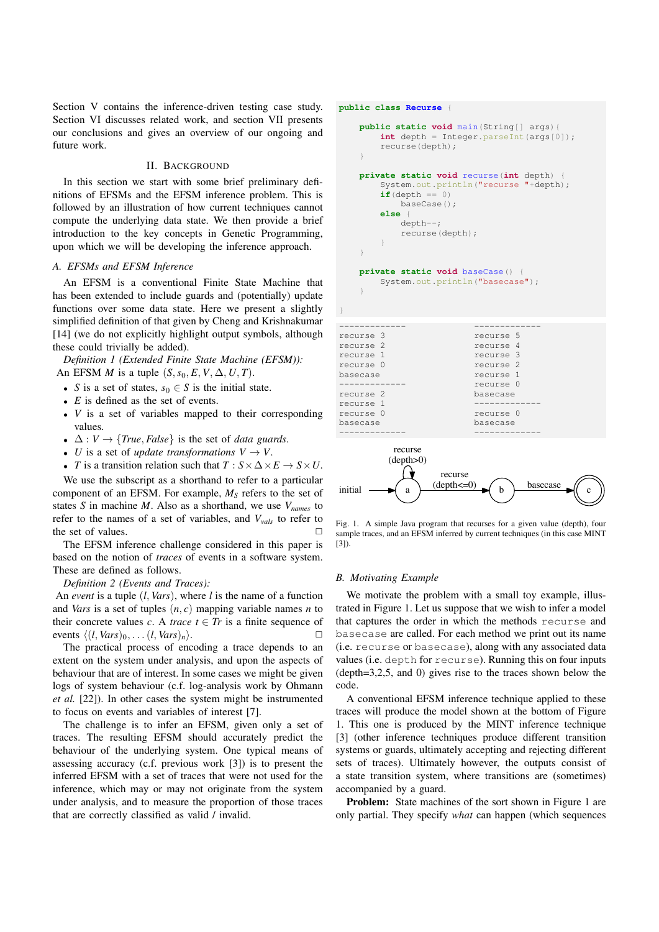Section V contains the inference-driven testing case study. Section VI discusses related work, and section VII presents our conclusions and gives an overview of our ongoing and future work.

## II. BACKGROUND

In this section we start with some brief preliminary definitions of EFSMs and the EFSM inference problem. This is followed by an illustration of how current techniques cannot compute the underlying data state. We then provide a brief introduction to the key concepts in Genetic Programming, upon which we will be developing the inference approach.

## *A. EFSMs and EFSM Inference*

An EFSM is a conventional Finite State Machine that has been extended to include guards and (potentially) update functions over some data state. Here we present a slightly simplified definition of that given by Cheng and Krishnakumar [14] (we do not explicitly highlight output symbols, although these could trivially be added).

*Definition 1 (Extended Finite State Machine (EFSM)):* An EFSM *M* is a tuple  $(S, s_0, E, V, \Delta, U, T)$ .

- *S* is a set of states,  $s_0 \in S$  is the initial state.
- *E* is defined as the set of events.
- *V* is a set of variables mapped to their corresponding values.
- $\Delta: V \rightarrow \{True, False\}$  is the set of *data guards*.
- *U* is a set of *update transformations*  $V \rightarrow V$ .
- *T* is a transition relation such that  $T : S \times \Delta \times E \rightarrow S \times U$ .

We use the subscript as a shorthand to refer to a particular component of an EFSM. For example, *M<sup>S</sup>* refers to the set of states *S* in machine *M*. Also as a shorthand, we use *Vnames* to refer to the names of a set of variables, and *Vvals* to refer to the set of values.  $\Box$ 

The EFSM inference challenge considered in this paper is based on the notion of *traces* of events in a software system. These are defined as follows.

*Definition 2 (Events and Traces):*

An *event* is a tuple (*l*, *Vars*), where *l* is the name of a function and *Vars* is a set of tuples (*n*, *c*) mapping variable names *n* to their concrete values *c*. A *trace*  $t \in Tr$  is a finite sequence of events  $\langle (l, Vars)_0, \ldots (l, Vars)_n \rangle$ .

The practical process of encoding a trace depends to an extent on the system under analysis, and upon the aspects of behaviour that are of interest. In some cases we might be given logs of system behaviour (c.f. log-analysis work by Ohmann *et al.* [22]). In other cases the system might be instrumented to focus on events and variables of interest [7].

The challenge is to infer an EFSM, given only a set of traces. The resulting EFSM should accurately predict the behaviour of the underlying system. One typical means of assessing accuracy (c.f. previous work [3]) is to present the inferred EFSM with a set of traces that were not used for the inference, which may or may not originate from the system under analysis, and to measure the proportion of those traces that are correctly classified as valid / invalid.

|                                                                                                                             | public class Recurse {                                                                                                                                                                                |                                                                                                                               |  |  |
|-----------------------------------------------------------------------------------------------------------------------------|-------------------------------------------------------------------------------------------------------------------------------------------------------------------------------------------------------|-------------------------------------------------------------------------------------------------------------------------------|--|--|
| public static void main (String[] args) {<br>$int depth = Integer.parseInt(args[0]);$<br>recurse (depth);                   |                                                                                                                                                                                                       |                                                                                                                               |  |  |
| ł<br>ł                                                                                                                      | <b>private static void</b> recurse (int depth) {<br>$if (depth == 0)$<br>baseCase();<br>else<br>$depth--;$<br>recurse (depth);<br>private static void baseCase() {<br>System.out.println("basecase"); | System.out.println("recurse "+depth);                                                                                         |  |  |
| recurse 3<br>recurse 2<br>recurse 1<br>recurse 0<br>basecase<br>--------<br>recurse 2<br>recurse 1<br>recurse 0<br>basecase |                                                                                                                                                                                                       | recurse 5<br>recurse 4<br>recurse 3<br>recurse 2<br>recurse 1<br>recurse 0<br>basecase<br>----------<br>recurse 0<br>basecase |  |  |
|                                                                                                                             | recurse                                                                                                                                                                                               |                                                                                                                               |  |  |



Fig. 1. A simple Java program that recurses for a given value (depth), four sample traces, and an EFSM inferred by current techniques (in this case MINT [3]).

#### *B. Motivating Example*

We motivate the problem with a small toy example, illustrated in Figure 1. Let us suppose that we wish to infer a model that captures the order in which the methods recurse and basecase are called. For each method we print out its name (i.e. recurse or basecase), along with any associated data values (i.e. depth for recurse). Running this on four inputs (depth=3,2,5, and 0) gives rise to the traces shown below the code.

A conventional EFSM inference technique applied to these traces will produce the model shown at the bottom of Figure 1. This one is produced by the MINT inference technique [3] (other inference techniques produce different transition systems or guards, ultimately accepting and rejecting different sets of traces). Ultimately however, the outputs consist of a state transition system, where transitions are (sometimes) accompanied by a guard.

Problem: State machines of the sort shown in Figure 1 are only partial. They specify *what* can happen (which sequences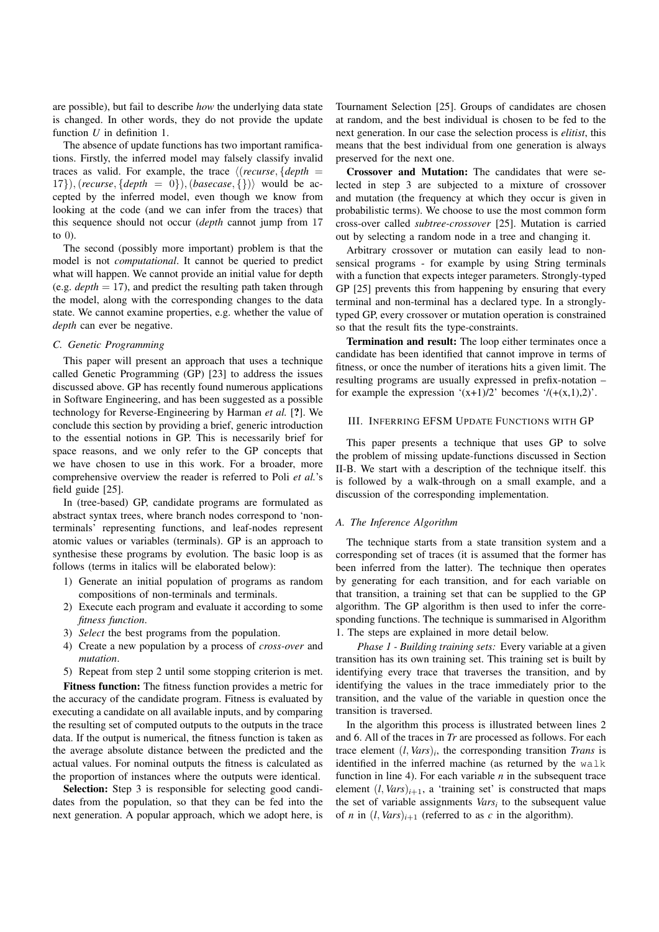are possible), but fail to describe *how* the underlying data state is changed. In other words, they do not provide the update function *U* in definition 1.

The absence of update functions has two important ramifications. Firstly, the inferred model may falsely classify invalid traces as valid. For example, the trace  $\langle$  (*recurse*, {*depth* = 17}), (*recurse*, {*depth* = 0}), (*basecase*, {})) would be accepted by the inferred model, even though we know from looking at the code (and we can infer from the traces) that this sequence should not occur (*depth* cannot jump from 17 to 0).

The second (possibly more important) problem is that the model is not *computational*. It cannot be queried to predict what will happen. We cannot provide an initial value for depth (e.g.  $depth = 17$ ), and predict the resulting path taken through the model, along with the corresponding changes to the data state. We cannot examine properties, e.g. whether the value of *depth* can ever be negative.

#### *C. Genetic Programming*

This paper will present an approach that uses a technique called Genetic Programming (GP) [23] to address the issues discussed above. GP has recently found numerous applications in Software Engineering, and has been suggested as a possible technology for Reverse-Engineering by Harman *et al.* [?]. We conclude this section by providing a brief, generic introduction to the essential notions in GP. This is necessarily brief for space reasons, and we only refer to the GP concepts that we have chosen to use in this work. For a broader, more comprehensive overview the reader is referred to Poli *et al.*'s field guide [25].

In (tree-based) GP, candidate programs are formulated as abstract syntax trees, where branch nodes correspond to 'nonterminals' representing functions, and leaf-nodes represent atomic values or variables (terminals). GP is an approach to synthesise these programs by evolution. The basic loop is as follows (terms in italics will be elaborated below):

- 1) Generate an initial population of programs as random compositions of non-terminals and terminals.
- 2) Execute each program and evaluate it according to some *fitness function*.
- 3) *Select* the best programs from the population.
- 4) Create a new population by a process of *cross-over* and *mutation*.
- 5) Repeat from step 2 until some stopping criterion is met.

Fitness function: The fitness function provides a metric for the accuracy of the candidate program. Fitness is evaluated by executing a candidate on all available inputs, and by comparing the resulting set of computed outputs to the outputs in the trace data. If the output is numerical, the fitness function is taken as the average absolute distance between the predicted and the actual values. For nominal outputs the fitness is calculated as the proportion of instances where the outputs were identical.

Selection: Step 3 is responsible for selecting good candidates from the population, so that they can be fed into the next generation. A popular approach, which we adopt here, is Tournament Selection [25]. Groups of candidates are chosen at random, and the best individual is chosen to be fed to the next generation. In our case the selection process is *elitist*, this means that the best individual from one generation is always preserved for the next one.

Crossover and Mutation: The candidates that were selected in step 3 are subjected to a mixture of crossover and mutation (the frequency at which they occur is given in probabilistic terms). We choose to use the most common form cross-over called *subtree-crossover* [25]. Mutation is carried out by selecting a random node in a tree and changing it.

Arbitrary crossover or mutation can easily lead to nonsensical programs - for example by using String terminals with a function that expects integer parameters. Strongly-typed GP [25] prevents this from happening by ensuring that every terminal and non-terminal has a declared type. In a stronglytyped GP, every crossover or mutation operation is constrained so that the result fits the type-constraints.

Termination and result: The loop either terminates once a candidate has been identified that cannot improve in terms of fitness, or once the number of iterations hits a given limit. The resulting programs are usually expressed in prefix-notation – for example the expression  $'(x+1)/2$  becomes  $'/(+(x,1),2)$ .

#### III. INFERRING EFSM UPDATE FUNCTIONS WITH GP

This paper presents a technique that uses GP to solve the problem of missing update-functions discussed in Section II-B. We start with a description of the technique itself. this is followed by a walk-through on a small example, and a discussion of the corresponding implementation.

#### *A. The Inference Algorithm*

The technique starts from a state transition system and a corresponding set of traces (it is assumed that the former has been inferred from the latter). The technique then operates by generating for each transition, and for each variable on that transition, a training set that can be supplied to the GP algorithm. The GP algorithm is then used to infer the corresponding functions. The technique is summarised in Algorithm 1. The steps are explained in more detail below.

*Phase 1 - Building training sets:* Every variable at a given transition has its own training set. This training set is built by identifying every trace that traverses the transition, and by identifying the values in the trace immediately prior to the transition, and the value of the variable in question once the transition is traversed.

In the algorithm this process is illustrated between lines 2 and 6. All of the traces in *Tr* are processed as follows. For each trace element  $(l, Vars)_i$ , the corresponding transition *Trans* is identified in the inferred machine (as returned by the walk function in line 4). For each variable *n* in the subsequent trace element  $(l, Vars)_{i+1}$ , a 'training set' is constructed that maps the set of variable assignments *Vars<sup>i</sup>* to the subsequent value of *n* in  $(l, Vars)_{i+1}$  (referred to as *c* in the algorithm).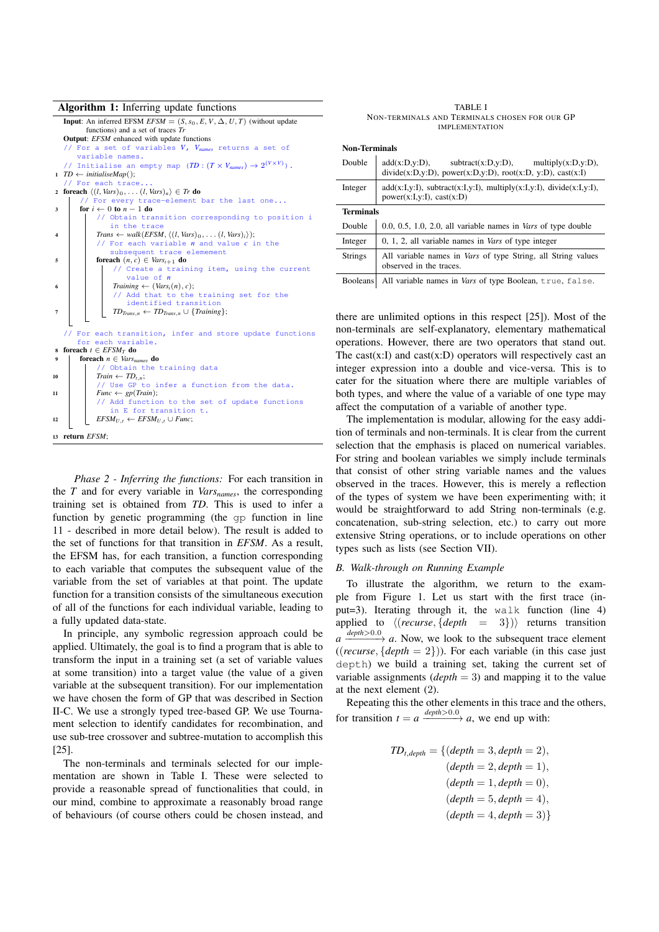| <b>Algorithm 1:</b> Inferring update functions |  |  |  |
|------------------------------------------------|--|--|--|
|------------------------------------------------|--|--|--|

| $\tilde{\phantom{a}}$                                                                                         |  |  |
|---------------------------------------------------------------------------------------------------------------|--|--|
| <b>Input:</b> An inferred EFSM $EFSM = (S, s_0, E, V, \Delta, U, T)$ (without update                          |  |  |
| functions) and a set of traces $Tr$                                                                           |  |  |
| <b>Output:</b> EFSM enhanced with update functions                                                            |  |  |
| // For a set of variables $V$ , $V_{names}$ returns a set of                                                  |  |  |
| variable names.                                                                                               |  |  |
| // Initialise an empty map $(TD : (T \times V_{names}) \rightarrow 2^{(V \times V)})$ .                       |  |  |
| $1 \quad TD \leftarrow initialiseMap();$                                                                      |  |  |
| // For each trace                                                                                             |  |  |
| 2 foreach $\langle (l, Vars)_0, \ldots (l, Vars)_n \rangle \in Tr$ do                                         |  |  |
| // For every trace-element bar the last one                                                                   |  |  |
| for $i \leftarrow 0$ to $n - 1$ do<br>3                                                                       |  |  |
| // Obtain transition corresponding to position i                                                              |  |  |
| in the trace                                                                                                  |  |  |
| Trans $\leftarrow$ walk(EFSM, $\langle (l, Vars)_0, \ldots (l, Vars)_i \rangle$ );<br>$\overline{\mathbf{4}}$ |  |  |
| // For each variable $n$ and value $c$ in the                                                                 |  |  |
| subsequent trace elemement                                                                                    |  |  |
| <b>foreach</b> $(n, c) \in VarS_{i+1}$ <b>do</b><br>5                                                         |  |  |
| // Create a training item, using the current                                                                  |  |  |
| value of $n$                                                                                                  |  |  |
| Training $\leftarrow$ (Vars <sub>i</sub> $(n), c$ );<br>6                                                     |  |  |
| // Add that to the training set for the                                                                       |  |  |
| identified transition                                                                                         |  |  |
| $TD_{Trans,n} \leftarrow TD_{Trans,n} \cup \{Training\};$<br>$\overline{7}$                                   |  |  |
|                                                                                                               |  |  |
| // For each transition, infer and store update functions                                                      |  |  |
| for each variable.                                                                                            |  |  |
| s foreach $t \in EFSM_T$ do                                                                                   |  |  |
| foreach $n \in Vars_{names}$ do<br>9                                                                          |  |  |
| // Obtain the training data                                                                                   |  |  |
| 10                                                                                                            |  |  |
| $Train \leftarrow TD_{t,n};$<br>// Use GP to infer a function from the data.                                  |  |  |
|                                                                                                               |  |  |
| $Func \leftarrow gp(Train);$<br>11<br>// Add function to the set of update functions                          |  |  |
|                                                                                                               |  |  |
| in E for transition t.                                                                                        |  |  |
| $EFSM_{U,t} \leftarrow EFSM_{U,t} \cup Func;$<br>12                                                           |  |  |
|                                                                                                               |  |  |
| 13 return EFSM;                                                                                               |  |  |

*Phase 2 - Inferring the functions:* For each transition in the *T* and for every variable in *Varsnames*, the corresponding training set is obtained from *TD*. This is used to infer a function by genetic programming (the gp function in line 11 - described in more detail below). The result is added to the set of functions for that transition in *EFSM*. As a result, the EFSM has, for each transition, a function corresponding to each variable that computes the subsequent value of the variable from the set of variables at that point. The update function for a transition consists of the simultaneous execution of all of the functions for each individual variable, leading to a fully updated data-state.

In principle, any symbolic regression approach could be applied. Ultimately, the goal is to find a program that is able to transform the input in a training set (a set of variable values at some transition) into a target value (the value of a given variable at the subsequent transition). For our implementation we have chosen the form of GP that was described in Section II-C. We use a strongly typed tree-based GP. We use Tournament selection to identify candidates for recombination, and use sub-tree crossover and subtree-mutation to accomplish this [25].

The non-terminals and terminals selected for our implementation are shown in Table I. These were selected to provide a reasonable spread of functionalities that could, in our mind, combine to approximate a reasonably broad range of behaviours (of course others could be chosen instead, and

| <b>TABLE I</b>                                |  |
|-----------------------------------------------|--|
| NON-TERMINALS AND TERMINALS CHOSEN FOR OUR GP |  |
| <b>IMPLEMENTATION</b>                         |  |

#### Non-Terminals

| Double           | $add(x:D,y:D)$ , subtract(x:D,y:D), multiply(x:D,y:D),<br>$divide(x:D,y:D)$ , power(x:D,y:D), root(x:D, y:D), cast(x:I) |  |
|------------------|-------------------------------------------------------------------------------------------------------------------------|--|
| Integer          | $add(x:I,y:I)$ , subtract(x:I,y:I), multiply(x:I,y:I), divide(x:I,y:I),<br>power(x:I,y:I), cast(x:D)                    |  |
| <b>Terminals</b> |                                                                                                                         |  |
| Double           | $0.0, 0.5, 1.0, 2.0,$ all variable names in <i>Vars</i> of type double                                                  |  |
| Integer          | $0, 1, 2$ , all variable names in <i>Vars</i> of type integer                                                           |  |
| <b>Strings</b>   | All variable names in <i>Vars</i> of type String, all String values<br>observed in the traces.                          |  |
| <b>Booleans</b>  | All variable names in Vars of type Boolean, true, false.                                                                |  |

there are unlimited options in this respect [25]). Most of the non-terminals are self-explanatory, elementary mathematical operations. However, there are two operators that stand out. The cast $(x:I)$  and cast $(x:D)$  operators will respectively cast an integer expression into a double and vice-versa. This is to cater for the situation where there are multiple variables of both types, and where the value of a variable of one type may affect the computation of a variable of another type.

The implementation is modular, allowing for the easy addition of terminals and non-terminals. It is clear from the current selection that the emphasis is placed on numerical variables. For string and boolean variables we simply include terminals that consist of other string variable names and the values observed in the traces. However, this is merely a reflection of the types of system we have been experimenting with; it would be straightforward to add String non-terminals (e.g. concatenation, sub-string selection, etc.) to carry out more extensive String operations, or to include operations on other types such as lists (see Section VII).

#### *B. Walk-through on Running Example*

To illustrate the algorithm, we return to the example from Figure 1. Let us start with the first trace (input=3). Iterating through it, the walk function (line 4) applied to  $\langle (recursive, \{depth = 3\})\rangle$  returns transition  $a \xrightarrow{depth > 0.0} a$ . Now, we look to the subsequent trace element ((*recurse*,  $\{depth = 2\}$ )). For each variable (in this case just depth) we build a training set, taking the current set of variable assignments  $(depth = 3)$  and mapping it to the value at the next element (2).

Repeating this the other elements in this trace and the others, for transition  $t = a \xrightarrow{depth > 0.0} a$ , we end up with:

$$
TD_{t,depth} = \{ (depth = 3, depth = 2),
$$
  
\n
$$
(depth = 2, depth = 1),
$$
  
\n
$$
(depth = 1, depth = 0),
$$
  
\n
$$
(depth = 5, depth = 4),
$$
  
\n
$$
(depth = 4, depth = 3) \}
$$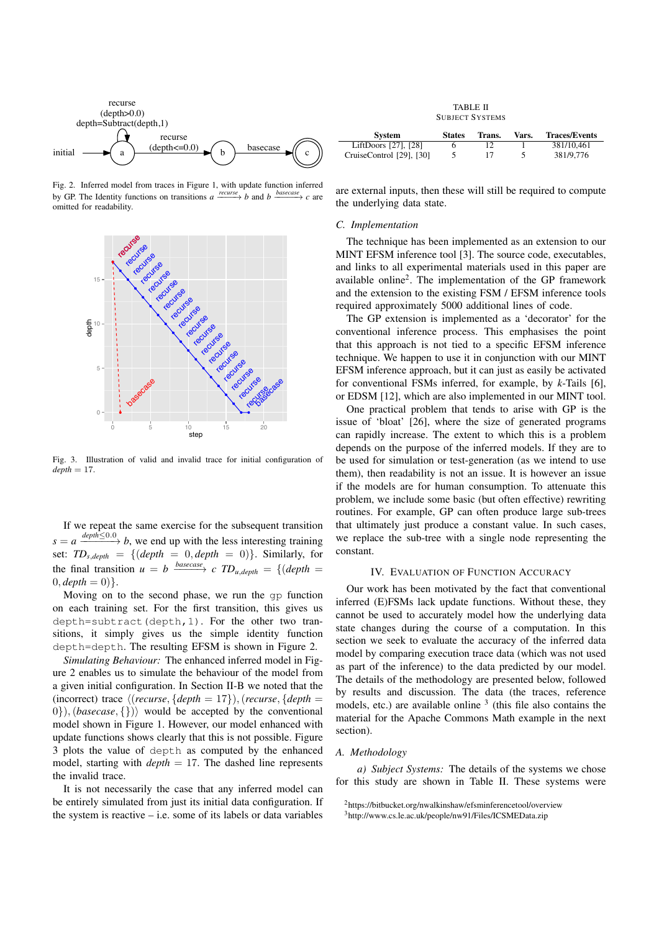

Fig. 2. Inferred model from traces in Figure 1, with update function inferred by GP. The Identity functions on transitions  $a \xrightarrow{recursive} b$  and  $b \xrightarrow{basecase} c$  are omitted for readability.



Fig. 3. Illustration of valid and invalid trace for initial configuration of  $depth = 17$ .

If we repeat the same exercise for the subsequent transition  $s = a \xrightarrow{depth \leq 0.0} b$ , we end up with the less interesting training set:  $TD_{s,depth} = \{ (depth = 0, depth = 0) \}.$  Similarly, for the final transition  $u = b \xrightarrow{basecase} c TD_{u,depth} = \{ (depth = b) \}$  $0, depth = 0)$ .

Moving on to the second phase, we run the gp function on each training set. For the first transition, this gives us depth=subtract(depth,1). For the other two transitions, it simply gives us the simple identity function depth=depth. The resulting EFSM is shown in Figure 2.

*Simulating Behaviour:* The enhanced inferred model in Figure 2 enables us to simulate the behaviour of the model from a given initial configuration. In Section II-B we noted that the (incorrect) trace  $\langle$  (*recurse*,  $\{depth = 17\}$ ), (*recurse*,  $\{depth =$  $0\}$ ), (*basecase*, {})) would be accepted by the conventional model shown in Figure 1. However, our model enhanced with update functions shows clearly that this is not possible. Figure 3 plots the value of depth as computed by the enhanced model, starting with *depth* = 17. The dashed line represents the invalid trace.

It is not necessarily the case that any inferred model can be entirely simulated from just its initial data configuration. If the system is reactive  $-$  i.e. some of its labels or data variables

TABLE II SUBJECT SYSTEMS

| <b>System</b>            | <b>States</b> | Trans. | Vars. | <b>Traces/Events</b> |
|--------------------------|---------------|--------|-------|----------------------|
| LiftDoors [27], [28]     |               |        |       | 381/10.461           |
| CruiseControl [29], [30] |               |        |       | 381/9.776            |

are external inputs, then these will still be required to compute the underlying data state.

#### *C. Implementation*

The technique has been implemented as an extension to our MINT EFSM inference tool [3]. The source code, executables, and links to all experimental materials used in this paper are available online<sup>2</sup> . The implementation of the GP framework and the extension to the existing FSM / EFSM inference tools required approximately 5000 additional lines of code.

The GP extension is implemented as a 'decorator' for the conventional inference process. This emphasises the point that this approach is not tied to a specific EFSM inference technique. We happen to use it in conjunction with our MINT EFSM inference approach, but it can just as easily be activated for conventional FSMs inferred, for example, by *k*-Tails [6], or EDSM [12], which are also implemented in our MINT tool.

One practical problem that tends to arise with GP is the issue of 'bloat' [26], where the size of generated programs can rapidly increase. The extent to which this is a problem depends on the purpose of the inferred models. If they are to be used for simulation or test-generation (as we intend to use them), then readability is not an issue. It is however an issue if the models are for human consumption. To attenuate this problem, we include some basic (but often effective) rewriting routines. For example, GP can often produce large sub-trees that ultimately just produce a constant value. In such cases, we replace the sub-tree with a single node representing the constant.

#### IV. EVALUATION OF FUNCTION ACCURACY

Our work has been motivated by the fact that conventional inferred (E)FSMs lack update functions. Without these, they cannot be used to accurately model how the underlying data state changes during the course of a computation. In this section we seek to evaluate the accuracy of the inferred data model by comparing execution trace data (which was not used as part of the inference) to the data predicted by our model. The details of the methodology are presented below, followed by results and discussion. The data (the traces, reference models, etc.) are available online  $3$  (this file also contains the material for the Apache Commons Math example in the next section).

#### *A. Methodology*

*a) Subject Systems:* The details of the systems we chose for this study are shown in Table II. These systems were

<sup>2</sup>https://bitbucket.org/nwalkinshaw/efsminferencetool/overview <sup>3</sup>http://www.cs.le.ac.uk/people/nw91/Files/ICSMEData.zip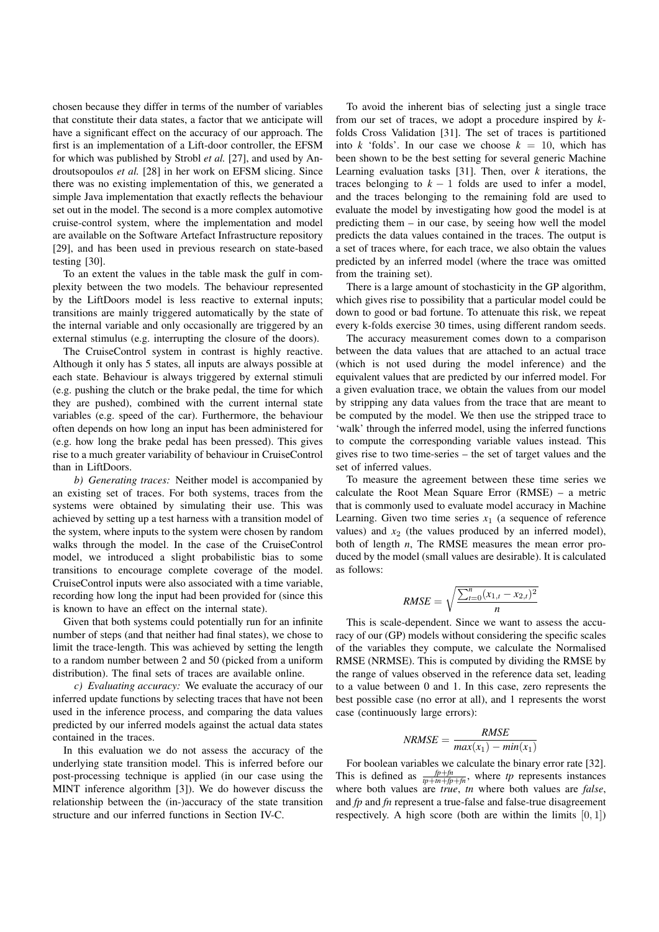chosen because they differ in terms of the number of variables that constitute their data states, a factor that we anticipate will have a significant effect on the accuracy of our approach. The first is an implementation of a Lift-door controller, the EFSM for which was published by Strobl *et al.* [27], and used by Androutsopoulos *et al.* [28] in her work on EFSM slicing. Since there was no existing implementation of this, we generated a simple Java implementation that exactly reflects the behaviour set out in the model. The second is a more complex automotive cruise-control system, where the implementation and model are available on the Software Artefact Infrastructure repository [29], and has been used in previous research on state-based testing [30].

To an extent the values in the table mask the gulf in complexity between the two models. The behaviour represented by the LiftDoors model is less reactive to external inputs; transitions are mainly triggered automatically by the state of the internal variable and only occasionally are triggered by an external stimulus (e.g. interrupting the closure of the doors).

The CruiseControl system in contrast is highly reactive. Although it only has 5 states, all inputs are always possible at each state. Behaviour is always triggered by external stimuli (e.g. pushing the clutch or the brake pedal, the time for which they are pushed), combined with the current internal state variables (e.g. speed of the car). Furthermore, the behaviour often depends on how long an input has been administered for (e.g. how long the brake pedal has been pressed). This gives rise to a much greater variability of behaviour in CruiseControl than in LiftDoors.

*b) Generating traces:* Neither model is accompanied by an existing set of traces. For both systems, traces from the systems were obtained by simulating their use. This was achieved by setting up a test harness with a transition model of the system, where inputs to the system were chosen by random walks through the model. In the case of the CruiseControl model, we introduced a slight probabilistic bias to some transitions to encourage complete coverage of the model. CruiseControl inputs were also associated with a time variable, recording how long the input had been provided for (since this is known to have an effect on the internal state).

Given that both systems could potentially run for an infinite number of steps (and that neither had final states), we chose to limit the trace-length. This was achieved by setting the length to a random number between 2 and 50 (picked from a uniform distribution). The final sets of traces are available online.

*c) Evaluating accuracy:* We evaluate the accuracy of our inferred update functions by selecting traces that have not been used in the inference process, and comparing the data values predicted by our inferred models against the actual data states contained in the traces.

In this evaluation we do not assess the accuracy of the underlying state transition model. This is inferred before our post-processing technique is applied (in our case using the MINT inference algorithm [3]). We do however discuss the relationship between the (in-)accuracy of the state transition structure and our inferred functions in Section IV-C.

To avoid the inherent bias of selecting just a single trace from our set of traces, we adopt a procedure inspired by *k*folds Cross Validation [31]. The set of traces is partitioned into *k* 'folds'. In our case we choose  $k = 10$ , which has been shown to be the best setting for several generic Machine Learning evaluation tasks [31]. Then, over *k* iterations, the traces belonging to  $k - 1$  folds are used to infer a model, and the traces belonging to the remaining fold are used to evaluate the model by investigating how good the model is at predicting them – in our case, by seeing how well the model predicts the data values contained in the traces. The output is a set of traces where, for each trace, we also obtain the values predicted by an inferred model (where the trace was omitted from the training set).

There is a large amount of stochasticity in the GP algorithm, which gives rise to possibility that a particular model could be down to good or bad fortune. To attenuate this risk, we repeat every k-folds exercise 30 times, using different random seeds.

The accuracy measurement comes down to a comparison between the data values that are attached to an actual trace (which is not used during the model inference) and the equivalent values that are predicted by our inferred model. For a given evaluation trace, we obtain the values from our model by stripping any data values from the trace that are meant to be computed by the model. We then use the stripped trace to 'walk' through the inferred model, using the inferred functions to compute the corresponding variable values instead. This gives rise to two time-series – the set of target values and the set of inferred values.

To measure the agreement between these time series we calculate the Root Mean Square Error (RMSE) – a metric that is commonly used to evaluate model accuracy in Machine Learning. Given two time series  $x_1$  (a sequence of reference values) and  $x_2$  (the values produced by an inferred model), both of length *n*, The RMSE measures the mean error produced by the model (small values are desirable). It is calculated as follows:

RMSE = 
$$
\sqrt{\frac{\sum_{t=0}^{n}(x_{1,t} - x_{2,t})^2}{n}}
$$

This is scale-dependent. Since we want to assess the accuracy of our (GP) models without considering the specific scales of the variables they compute, we calculate the Normalised RMSE (NRMSE). This is computed by dividing the RMSE by the range of values observed in the reference data set, leading to a value between 0 and 1. In this case, zero represents the best possible case (no error at all), and 1 represents the worst case (continuously large errors):

$$
NRMSE = \frac{RMSE}{max(x_1) - min(x_1)}
$$

For boolean variables we calculate the binary error rate [32]. This is defined as  $\frac{fp + fn}{tp + tn + fp + fn}$ , where *tp* represents instances where both values are *true*, *tn* where both values are *false*, and *fp* and *fn* represent a true-false and false-true disagreement respectively. A high score (both are within the limits  $[0, 1]$ )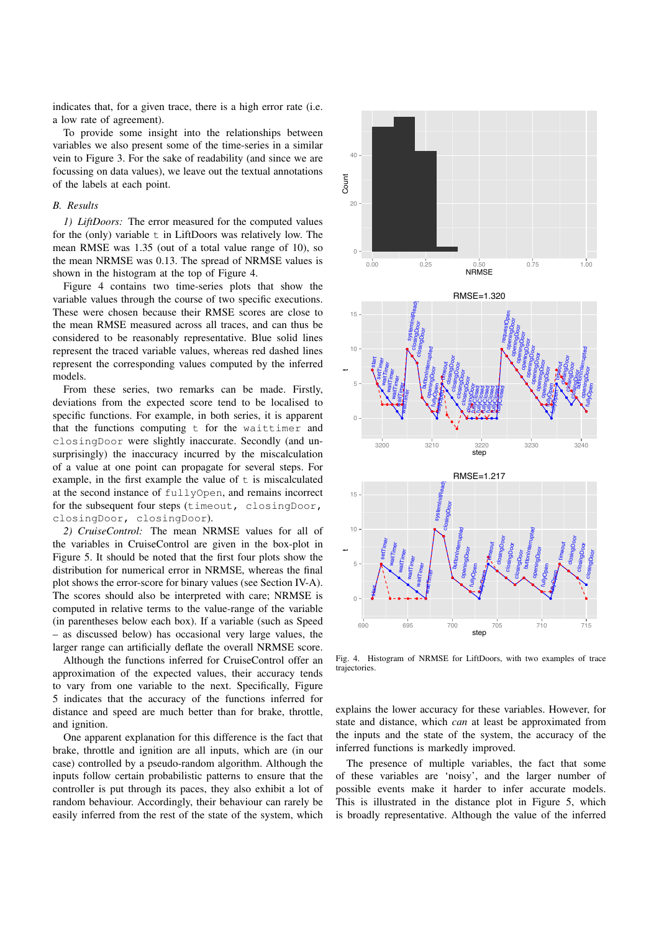indicates that, for a given trace, there is a high error rate (i.e. a low rate of agreement).

To provide some insight into the relationships between variables we also present some of the time-series in a similar vein to Figure 3. For the sake of readability (and since we are focussing on data values), we leave out the textual annotations of the labels at each point.

#### *B. Results*

*1) LiftDoors:* The error measured for the computed values for the (only) variable  $t$  in LiftDoors was relatively low. The mean RMSE was 1.35 (out of a total value range of 10), so the mean NRMSE was 0.13. The spread of NRMSE values is shown in the histogram at the top of Figure 4.

Figure 4 contains two time-series plots that show the variable values through the course of two specific executions. These were chosen because their RMSE scores are close to the mean RMSE measured across all traces, and can thus be considered to be reasonably representative. Blue solid lines represent the traced variable values, whereas red dashed lines represent the corresponding values computed by the inferred models.

From these series, two remarks can be made. Firstly, deviations from the expected score tend to be localised to specific functions. For example, in both series, it is apparent that the functions computing t for the waittimer and closingDoor were slightly inaccurate. Secondly (and unsurprisingly) the inaccuracy incurred by the miscalculation of a value at one point can propagate for several steps. For example, in the first example the value of  $t$  is miscalculated at the second instance of fullyOpen, and remains incorrect for the subsequent four steps (timeout, closingDoor, closingDoor, closingDoor).

*2) CruiseControl:* The mean NRMSE values for all of the variables in CruiseControl are given in the box-plot in Figure 5. It should be noted that the first four plots show the distribution for numerical error in NRMSE, whereas the final plot shows the error-score for binary values (see Section IV-A). The scores should also be interpreted with care; NRMSE is computed in relative terms to the value-range of the variable (in parentheses below each box). If a variable (such as Speed – as discussed below) has occasional very large values, the larger range can artificially deflate the overall NRMSE score.

Although the functions inferred for CruiseControl offer an approximation of the expected values, their accuracy tends to vary from one variable to the next. Specifically, Figure 5 indicates that the accuracy of the functions inferred for distance and speed are much better than for brake, throttle, and ignition.

One apparent explanation for this difference is the fact that brake, throttle and ignition are all inputs, which are (in our case) controlled by a pseudo-random algorithm. Although the inputs follow certain probabilistic patterns to ensure that the controller is put through its paces, they also exhibit a lot of random behaviour. Accordingly, their behaviour can rarely be easily inferred from the rest of the state of the system, which



Fig. 4. Histogram of NRMSE for LiftDoors, with two examples of trace trajectories.

explains the lower accuracy for these variables. However, for state and distance, which *can* at least be approximated from the inputs and the state of the system, the accuracy of the inferred functions is markedly improved.

The presence of multiple variables, the fact that some of these variables are 'noisy', and the larger number of possible events make it harder to infer accurate models. This is illustrated in the distance plot in Figure 5, which is broadly representative. Although the value of the inferred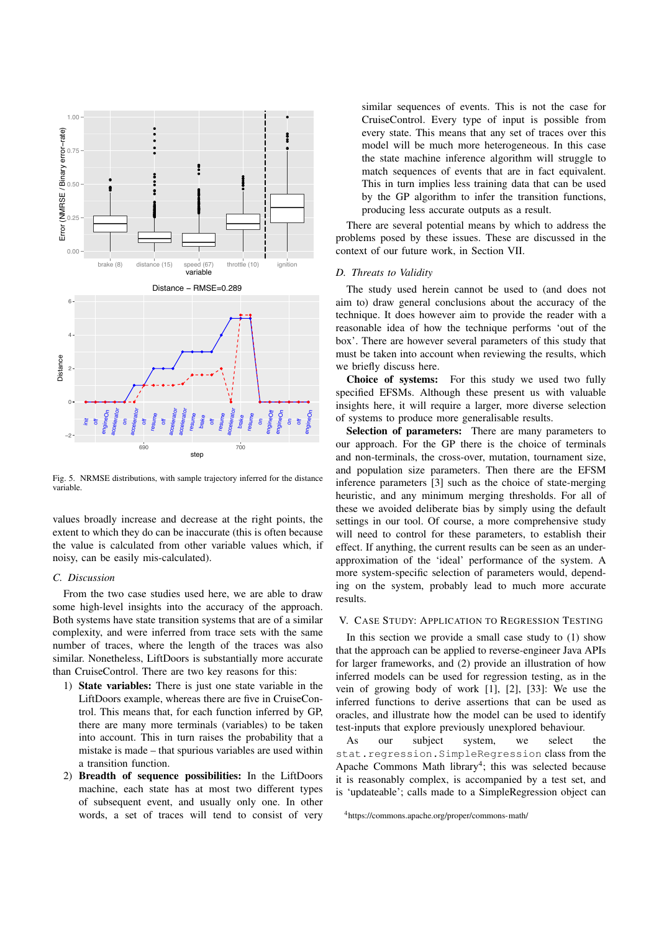

Fig. 5. NRMSE distributions, with sample trajectory inferred for the distance variable.

values broadly increase and decrease at the right points, the extent to which they do can be inaccurate (this is often because the value is calculated from other variable values which, if noisy, can be easily mis-calculated).

## *C. Discussion*

From the two case studies used here, we are able to draw some high-level insights into the accuracy of the approach. Both systems have state transition systems that are of a similar complexity, and were inferred from trace sets with the same number of traces, where the length of the traces was also similar. Nonetheless, LiftDoors is substantially more accurate than CruiseControl. There are two key reasons for this:

- 1) State variables: There is just one state variable in the LiftDoors example, whereas there are five in CruiseControl. This means that, for each function inferred by GP, there are many more terminals (variables) to be taken into account. This in turn raises the probability that a mistake is made – that spurious variables are used within a transition function.
- 2) Breadth of sequence possibilities: In the LiftDoors machine, each state has at most two different types of subsequent event, and usually only one. In other words, a set of traces will tend to consist of very

similar sequences of events. This is not the case for CruiseControl. Every type of input is possible from every state. This means that any set of traces over this model will be much more heterogeneous. In this case the state machine inference algorithm will struggle to match sequences of events that are in fact equivalent. This in turn implies less training data that can be used by the GP algorithm to infer the transition functions, producing less accurate outputs as a result.

There are several potential means by which to address the problems posed by these issues. These are discussed in the context of our future work, in Section VII.

#### *D. Threats to Validity*

The study used herein cannot be used to (and does not aim to) draw general conclusions about the accuracy of the technique. It does however aim to provide the reader with a reasonable idea of how the technique performs 'out of the box'. There are however several parameters of this study that must be taken into account when reviewing the results, which we briefly discuss here.<br>Choice of systems:

For this study we used two fully specified EFSMs. Although these present us with valuable insights here, it will require a larger, more diverse selection of systems to produce more generalisable results.

Selection of parameters: There are many parameters to our approach. For the GP there is the choice of terminals and non-terminals, the cross-over, mutation, tournament size, and population size parameters. Then there are the EFSM inference parameters [3] such as the choice of state-merging heuristic, and any minimum merging thresholds. For all of these we avoided deliberate bias by simply using the default settings in our tool. Of course, a more comprehensive study will need to control for these parameters, to establish their effect. If anything, the current results can be seen as an underapproximation of the 'ideal' performance of the system. A more system-specific selection of parameters would, depending on the system, probably lead to much more accurate results.

#### V. CASE STUDY: APPLICATION TO REGRESSION TESTING

In this section we provide a small case study to  $(1)$  show that the approach can be applied to reverse-engineer Java APIs for larger frameworks, and (2) provide an illustration of how inferred models can be used for regression testing, as in the vein of growing body of work [1], [2], [33]: We use the inferred functions to derive assertions that can be used as oracles, and illustrate how the model can be used to identify test-inputs that explore previously unexplored behaviour.

As our subject system, we select the stat.regression.SimpleRegression class from the Apache Commons Math library<sup>4</sup>; this was selected because it is reasonably complex, is accompanied by a test set, and is 'updateable'; calls made to a SimpleRegression object can

<sup>4</sup>https://commons.apache.org/proper/commons-math/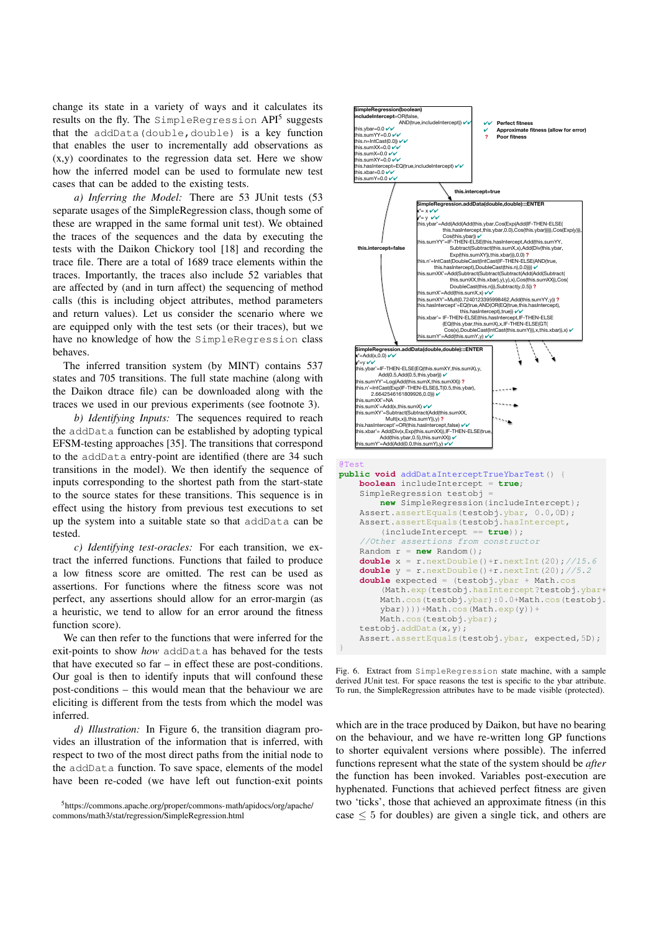change its state in a variety of ways and it calculates its results on the fly. The SimpleRegression API<sup>5</sup> suggests that the addData(double,double) is a key function that enables the user to incrementally add observations as (x,y) coordinates to the regression data set. Here we show how the inferred model can be used to formulate new test cases that can be added to the existing tests.

*a) Inferring the Model:* There are 53 JUnit tests (53 separate usages of the SimpleRegression class, though some of these are wrapped in the same formal unit test). We obtained the traces of the sequences and the data by executing the tests with the Daikon Chickory tool [18] and recording the trace file. There are a total of 1689 trace elements within the traces. Importantly, the traces also include 52 variables that are affected by (and in turn affect) the sequencing of method calls (this is including object attributes, method parameters and return values). Let us consider the scenario where we are equipped only with the test sets (or their traces), but we have no knowledge of how the SimpleRegression class behaves.

The inferred transition system (by MINT) contains 537 states and 705 transitions. The full state machine (along with the Daikon dtrace file) can be downloaded along with the traces we used in our previous experiments (see footnote 3).

*b) Identifying Inputs:* The sequences required to reach the addData function can be established by adopting typical EFSM-testing approaches [35]. The transitions that correspond to the addData entry-point are identified (there are 34 such transitions in the model). We then identify the sequence of inputs corresponding to the shortest path from the start-state to the source states for these transitions. This sequence is in effect using the history from previous test executions to set up the system into a suitable state so that addData can be tested.

*c) Identifying test-oracles:* For each transition, we extract the inferred functions. Functions that failed to produce a low fitness score are omitted. The rest can be used as assertions. For functions where the fitness score was not perfect, any assertions should allow for an error-margin (as a heuristic, we tend to allow for an error around the fitness function score).

We can then refer to the functions that were inferred for the exit-points to show *how* addData has behaved for the tests that have executed so far – in effect these are post-conditions. Our goal is then to identify inputs that will confound these post-conditions – this would mean that the behaviour we are eliciting is different from the tests from which the model was inferred.

*d) Illustration:* In Figure 6, the transition diagram provides an illustration of the information that is inferred, with respect to two of the most direct paths from the initial node to the addData function. To save space, elements of the model have been re-coded (we have left out function-exit points



Assert.assertEquals(testobj.ybar, expected,5D); } Fig. 6. Extract from SimpleRegression state machine, with a sample derived JUnit test. For space reasons the test is specific to the ybar attribute.

To run, the SimpleRegression attributes have to be made visible (protected).

 $ybar))$ ))+Math.cos(Math.exp(y))+

Math.cos(testobj.ybar);

testobj.addData(x,y);

which are in the trace produced by Daikon, but have no bearing on the behaviour, and we have re-written long GP functions to shorter equivalent versions where possible). The inferred functions represent what the state of the system should be *after*

the function has been invoked. Variables post-execution are hyphenated. Functions that achieved perfect fitness are given two 'ticks', those that achieved an approximate fitness (in this case  $\leq 5$  for doubles) are given a single tick, and others are

<sup>5</sup>https://commons.apache.org/proper/commons-math/apidocs/org/apache/ commons/math3/stat/regression/SimpleRegression.html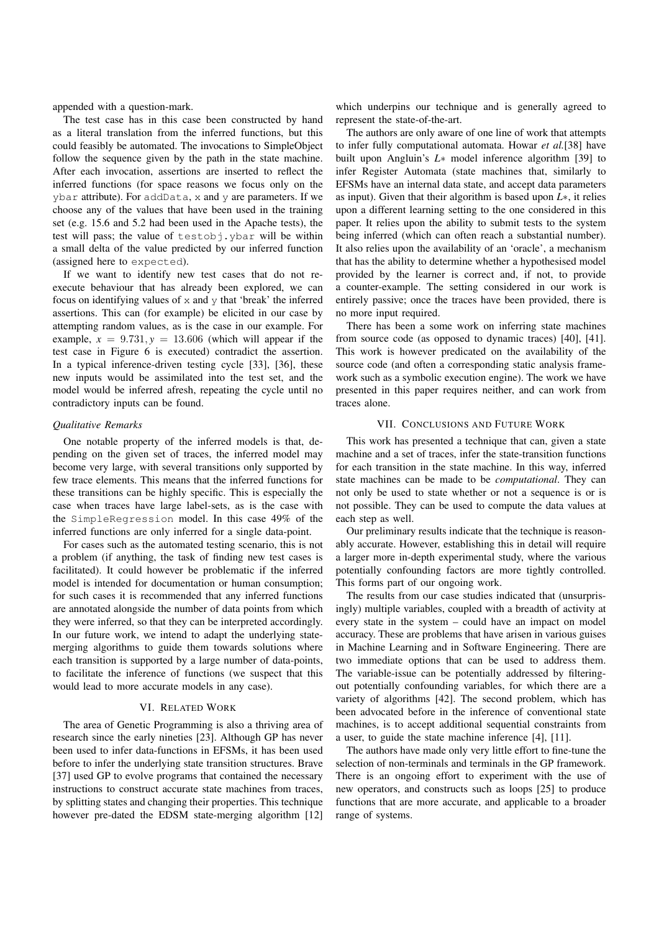appended with a question-mark.

The test case has in this case been constructed by hand as a literal translation from the inferred functions, but this could feasibly be automated. The invocations to SimpleObject follow the sequence given by the path in the state machine. After each invocation, assertions are inserted to reflect the inferred functions (for space reasons we focus only on the ybar attribute). For addData, x and y are parameters. If we choose any of the values that have been used in the training set (e.g. 15.6 and 5.2 had been used in the Apache tests), the test will pass; the value of testobj.ybar will be within a small delta of the value predicted by our inferred function (assigned here to expected).

If we want to identify new test cases that do not reexecute behaviour that has already been explored, we can focus on identifying values of  $x$  and  $y$  that 'break' the inferred assertions. This can (for example) be elicited in our case by attempting random values, as is the case in our example. For example,  $x = 9.731$ ,  $y = 13.606$  (which will appear if the test case in Figure 6 is executed) contradict the assertion. In a typical inference-driven testing cycle [33], [36], these new inputs would be assimilated into the test set, and the model would be inferred afresh, repeating the cycle until no contradictory inputs can be found.

#### *Qualitative Remarks*

One notable property of the inferred models is that, depending on the given set of traces, the inferred model may become very large, with several transitions only supported by few trace elements. This means that the inferred functions for these transitions can be highly specific. This is especially the case when traces have large label-sets, as is the case with the SimpleRegression model. In this case 49% of the inferred functions are only inferred for a single data-point.

For cases such as the automated testing scenario, this is not a problem (if anything, the task of finding new test cases is facilitated). It could however be problematic if the inferred model is intended for documentation or human consumption; for such cases it is recommended that any inferred functions are annotated alongside the number of data points from which they were inferred, so that they can be interpreted accordingly. In our future work, we intend to adapt the underlying statemerging algorithms to guide them towards solutions where each transition is supported by a large number of data-points, to facilitate the inference of functions (we suspect that this would lead to more accurate models in any case).

#### VI. RELATED WORK

The area of Genetic Programming is also a thriving area of research since the early nineties [23]. Although GP has never been used to infer data-functions in EFSMs, it has been used before to infer the underlying state transition structures. Brave [37] used GP to evolve programs that contained the necessary instructions to construct accurate state machines from traces, by splitting states and changing their properties. This technique however pre-dated the EDSM state-merging algorithm [12]

which underpins our technique and is generally agreed to represent the state-of-the-art.

The authors are only aware of one line of work that attempts to infer fully computational automata. Howar *et al.*[38] have built upon Angluin's *L*<sup>\*</sup> model inference algorithm [39] to infer Register Automata (state machines that, similarly to EFSMs have an internal data state, and accept data parameters as input). Given that their algorithm is based upon  $L^*$ , it relies upon a different learning setting to the one considered in this paper. It relies upon the ability to submit tests to the system being inferred (which can often reach a substantial number). It also relies upon the availability of an 'oracle', a mechanism that has the ability to determine whether a hypothesised model provided by the learner is correct and, if not, to provide a counter-example. The setting considered in our work is entirely passive; once the traces have been provided, there is no more input required.

There has been a some work on inferring state machines from source code (as opposed to dynamic traces) [40], [41]. This work is however predicated on the availability of the source code (and often a corresponding static analysis framework such as a symbolic execution engine). The work we have presented in this paper requires neither, and can work from traces alone.

#### VII. CONCLUSIONS AND FUTURE WORK

This work has presented a technique that can, given a state machine and a set of traces, infer the state-transition functions for each transition in the state machine. In this way, inferred state machines can be made to be *computational*. They can not only be used to state whether or not a sequence is or is not possible. They can be used to compute the data values at each step as well.

Our preliminary results indicate that the technique is reasonably accurate. However, establishing this in detail will require a larger more in-depth experimental study, where the various potentially confounding factors are more tightly controlled. This forms part of our ongoing work.

The results from our case studies indicated that (unsurprisingly) multiple variables, coupled with a breadth of activity at every state in the system – could have an impact on model accuracy. These are problems that have arisen in various guises in Machine Learning and in Software Engineering. There are two immediate options that can be used to address them. The variable-issue can be potentially addressed by filteringout potentially confounding variables, for which there are a variety of algorithms [42]. The second problem, which has been advocated before in the inference of conventional state machines, is to accept additional sequential constraints from a user, to guide the state machine inference [4], [11].

The authors have made only very little effort to fine-tune the selection of non-terminals and terminals in the GP framework. There is an ongoing effort to experiment with the use of new operators, and constructs such as loops [25] to produce functions that are more accurate, and applicable to a broader range of systems.